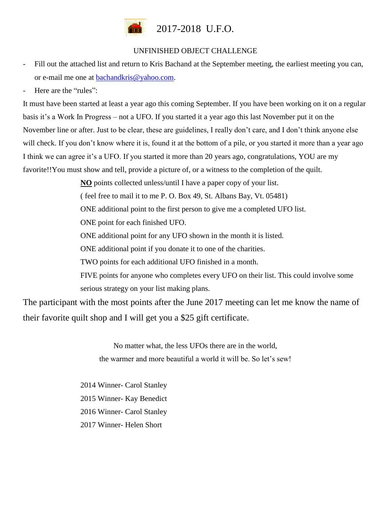

## UNFINISHED OBJECT CHALLENGE

- Fill out the attached list and return to Kris Bachand at the September meeting, the earliest meeting you can, or e-mail me one at [bachandkris@yahoo.com.](mailto:bachandkris@yahoo.com)
- Here are the "rules":

It must have been started at least a year ago this coming September. If you have been working on it on a regular basis it's a Work In Progress – not a UFO. If you started it a year ago this last November put it on the November line or after. Just to be clear, these are guidelines, I really don't care, and I don't think anyone else will check. If you don't know where it is, found it at the bottom of a pile, or you started it more than a year ago I think we can agree it's a UFO. If you started it more than 20 years ago, congratulations, YOU are my favorite!!You must show and tell, provide a picture of, or a witness to the completion of the quilt.

**NO** points collected unless/until I have a paper copy of your list.

( feel free to mail it to me P. O. Box 49, St. Albans Bay, Vt. 05481)

ONE additional point to the first person to give me a completed UFO list.

ONE point for each finished UFO.

ONE additional point for any UFO shown in the month it is listed.

ONE additional point if you donate it to one of the charities.

TWO points for each additional UFO finished in a month.

FIVE points for anyone who completes every UFO on their list. This could involve some serious strategy on your list making plans.

The participant with the most points after the June 2017 meeting can let me know the name of their favorite quilt shop and I will get you a \$25 gift certificate.

> No matter what, the less UFOs there are in the world, the warmer and more beautiful a world it will be. So let's sew!

2014 Winner- Carol Stanley 2015 Winner- Kay Benedict 2016 Winner- Carol Stanley 2017 Winner- Helen Short